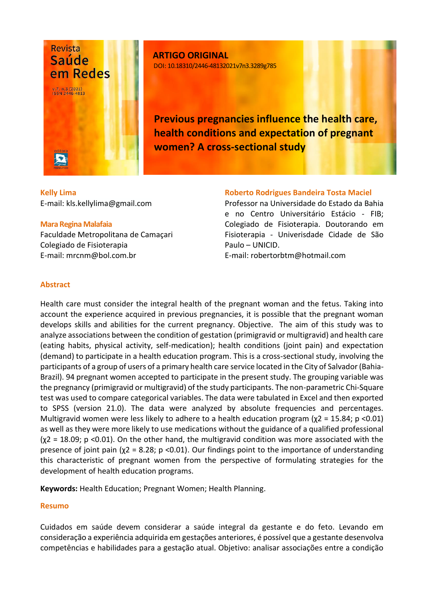

**ARTIGO ORIGINAL** DOI: 10.18310/2446-48132021v7n3.3289g785

**Previous pregnancies influence the health care, health conditions and expectation of pregnant women? A cross-sectional study**

**Kelly Lima** E-mail: kls.kellylima@gmail.com

#### **Mara Regina Malafaia**

Faculdade Metropolitana de Camaçari Colegiado de Fisioterapia E-mail: mrcnm@bol.com.br

#### **Roberto Rodrigues Bandeira Tosta Maciel**

Professor na Universidade do Estado da Bahia e no Centro Universitário Estácio - FIB; Colegiado de Fisioterapia. Doutorando em Fisioterapia - Univerisdade Cidade de São Paulo – UNICID.

E-mail: robertorbtm@hotmail.com

## **Abstract**

Health care must consider the integral health of the pregnant woman and the fetus. Taking into account the experience acquired in previous pregnancies, it is possible that the pregnant woman develops skills and abilities for the current pregnancy. Objective. The aim of this study was to analyze associations between the condition of gestation (primigravid or multigravid) and health care (eating habits, physical activity, self-medication); health conditions (joint pain) and expectation (demand) to participate in a health education program. This is a cross-sectional study, involving the participants of a group of users of a primary health care service located in the City of Salvador (Bahia-Brazil). 94 pregnant women accepted to participate in the present study. The grouping variable was the pregnancy (primigravid or multigravid) of the study participants. The non-parametric Chi-Square test was used to compare categorical variables. The data were tabulated in Excel and then exported to SPSS (version 21.0). The data were analyzed by absolute frequencies and percentages. Multigravid women were less likely to adhere to a health education program ( $\chi$ 2 = 15.84; p <0.01) as well as they were more likely to use medications without the guidance of a qualified professional  $(\chi^2 = 18.09; p \le 0.01)$ . On the other hand, the multigravid condition was more associated with the presence of joint pain ( $\chi$ 2 = 8.28; p < 0.01). Our findings point to the importance of understanding this characteristic of pregnant women from the perspective of formulating strategies for the development of health education programs.

**Keywords:** Health Education; Pregnant Women; Health Planning.

## **Resumo**

Cuidados em saúde devem considerar a saúde integral da gestante e do feto. Levando em consideração a experiência adquirida em gestações anteriores, é possível que a gestante desenvolva competências e habilidades para a gestação atual. Objetivo: analisar associações entre a condição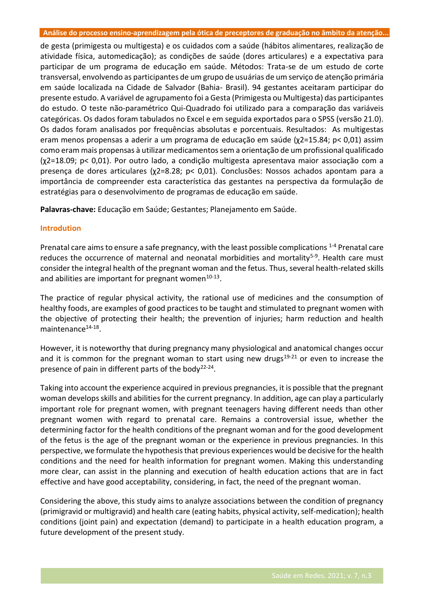de gesta (primigesta ou multigesta) e os cuidados com a saúde (hábitos alimentares, realização de atividade física, automedicação); as condições de saúde (dores articulares) e a expectativa para participar de um programa de educação em saúde. Métodos: Trata-se de um estudo de corte transversal, envolvendo as participantes de um grupo de usuárias de um serviço de atenção primária em saúde localizada na Cidade de Salvador (Bahia- Brasil). 94 gestantes aceitaram participar do presente estudo. A variável de agrupamento foi a Gesta (Primigesta ou Multigesta) das participantes do estudo. O teste não-paramétrico Qui-Quadrado foi utilizado para a comparação das variáveis categóricas. Os dados foram tabulados no Excel e em seguida exportados para o SPSS (versão 21.0). Os dados foram analisados por frequências absolutas e porcentuais. Resultados: As multigestas eram menos propensas a aderir a um programa de educação em saúde (χ2=15.84; p< 0,01) assim como eram mais propensas à utilizar medicamentos sem a orientação de um profissional qualificado (χ2=18.09; p< 0,01). Por outro lado, a condição multigesta apresentava maior associação com a presença de dores articulares (χ2=8.28; p< 0,01). Conclusões: Nossos achados apontam para a importância de compreender esta característica das gestantes na perspectiva da formulação de estratégias para o desenvolvimento de programas de educação em saúde.

**Palavras-chave:** Educação em Saúde; Gestantes; Planejamento em Saúde.

#### **Introdution**

Prenatal care aims to ensure a safe pregnancy, with the least possible complications <sup>1-4</sup> Prenatal care reduces the occurrence of maternal and neonatal morbidities and mortality<sup>5-9</sup>. Health care must consider the integral health of the pregnant woman and the fetus. Thus, several health-related skills and abilities are important for pregnant women<sup>10-13</sup>.

The practice of regular physical activity, the rational use of medicines and the consumption of healthy foods, are examples of good practices to be taught and stimulated to pregnant women with the objective of protecting their health; the prevention of injuries; harm reduction and health maintenance<sup>14-18</sup>.

However, it is noteworthy that during pregnancy many physiological and anatomical changes occur and it is common for the pregnant woman to start using new drugs<sup>19-21</sup> or even to increase the presence of pain in different parts of the body<sup>22-24</sup>.

Taking into account the experience acquired in previous pregnancies, it is possible that the pregnant woman develops skills and abilities for the current pregnancy. In addition, age can play a particularly important role for pregnant women, with pregnant teenagers having different needs than other pregnant women with regard to prenatal care. Remains a controversial issue, whether the determining factor for the health conditions of the pregnant woman and for the good development of the fetus is the age of the pregnant woman or the experience in previous pregnancies. In this perspective, we formulate the hypothesis that previous experiences would be decisive for the health conditions and the need for health information for pregnant women. Making this understanding more clear, can assist in the planning and execution of health education actions that are in fact effective and have good acceptability, considering, in fact, the need of the pregnant woman.

Considering the above, this study aims to analyze associations between the condition of pregnancy (primigravid or multigravid) and health care (eating habits, physical activity, self-medication); health conditions (joint pain) and expectation (demand) to participate in a health education program, a future development of the present study.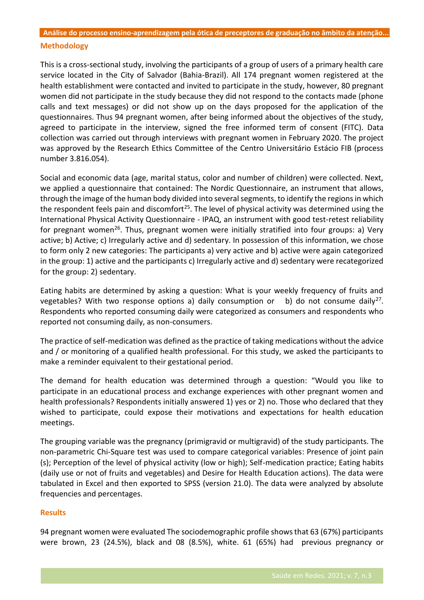# **Análise do processo ensino-aprendizagem pela ótica de preceptores de graduação no âmbito da atenção... Methodology**

This is a cross-sectional study, involving the participants of a group of users of a primary health care service located in the City of Salvador (Bahia-Brazil). All 174 pregnant women registered at the health establishment were contacted and invited to participate in the study, however, 80 pregnant women did not participate in the study because they did not respond to the contacts made (phone calls and text messages) or did not show up on the days proposed for the application of the questionnaires. Thus 94 pregnant women, after being informed about the objectives of the study, agreed to participate in the interview, signed the free informed term of consent (FITC). Data collection was carried out through interviews with pregnant women in February 2020. The project was approved by the Research Ethics Committee of the Centro Universitário Estácio FIB (process number 3.816.054).

Social and economic data (age, marital status, color and number of children) were collected. Next, we applied a questionnaire that contained: The Nordic Questionnaire, an instrument that allows, through the image of the human body divided into several segments, to identify the regions in which the respondent feels pain and discomfort<sup>25</sup>. The level of physical activity was determined using the International Physical Activity Questionnaire - IPAQ, an instrument with good test-retest reliability for pregnant women<sup>26</sup>. Thus, pregnant women were initially stratified into four groups: a) Very active; b) Active; c) Irregularly active and d) sedentary. In possession of this information, we chose to form only 2 new categories: The participants a) very active and b) active were again categorized in the group: 1) active and the participants c) Irregularly active and d) sedentary were recategorized for the group: 2) sedentary.

Eating habits are determined by asking a question: What is your weekly frequency of fruits and vegetables? With two response options a) daily consumption or b) do not consume daily<sup>27</sup>. Respondents who reported consuming daily were categorized as consumers and respondents who reported not consuming daily, as non-consumers.

The practice of self-medication was defined as the practice of taking medications without the advice and / or monitoring of a qualified health professional. For this study, we asked the participants to make a reminder equivalent to their gestational period.

The demand for health education was determined through a question: "Would you like to participate in an educational process and exchange experiences with other pregnant women and health professionals? Respondents initially answered 1) yes or 2) no. Those who declared that they wished to participate, could expose their motivations and expectations for health education meetings.

The grouping variable was the pregnancy (primigravid or multigravid) of the study participants. The non-parametric Chi-Square test was used to compare categorical variables: Presence of joint pain (s); Perception of the level of physical activity (low or high); Self-medication practice; Eating habits (daily use or not of fruits and vegetables) and Desire for Health Education actions). The data were tabulated in Excel and then exported to SPSS (version 21.0). The data were analyzed by absolute frequencies and percentages.

## **Results**

94 pregnant women were evaluated The sociodemographic profile shows that 63 (67%) participants were brown, 23 (24.5%), black and 08 (8.5%), white. 61 (65%) had previous pregnancy or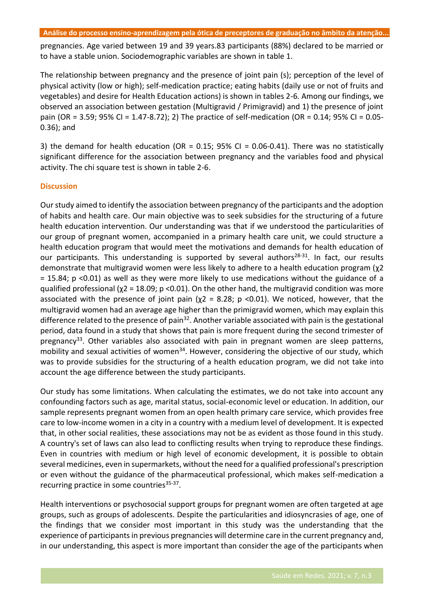**Análise do processo ensino-aprendizagem pela ótica de preceptores de graduação no âmbito da atenção...** 

pregnancies. Age varied between 19 and 39 years.83 participants (88%) declared to be married or to have a stable union. Sociodemographic variables are shown in table 1.

The relationship between pregnancy and the presence of joint pain (s); perception of the level of physical activity (low or high); self-medication practice; eating habits (daily use or not of fruits and vegetables) and desire for Health Education actions) is shown in tables 2-6. Among our findings, we observed an association between gestation (Multigravid / Primigravid) and 1) the presence of joint pain (OR = 3.59; 95% CI = 1.47-8.72); 2) The practice of self-medication (OR = 0.14; 95% CI = 0.05- 0.36); and

3) the demand for health education (OR =  $0.15$ ; 95% CI =  $0.06$ -0.41). There was no statistically significant difference for the association between pregnancy and the variables food and physical activity. The chi square test is shown in table 2-6.

## **Discussion**

Our study aimed to identify the association between pregnancy of the participants and the adoption of habits and health care. Our main objective was to seek subsidies for the structuring of a future health education intervention. Our understanding was that if we understood the particularities of our group of pregnant women, accompanied in a primary health care unit, we could structure a health education program that would meet the motivations and demands for health education of our participants. This understanding is supported by several authors<sup>28-31</sup>. In fact, our results demonstrate that multigravid women were less likely to adhere to a health education program (χ2 = 15.84; p <0.01) as well as they were more likely to use medications without the guidance of a qualified professional ( $\chi$ 2 = 18.09; p <0.01). On the other hand, the multigravid condition was more associated with the presence of joint pain ( $\chi$ 2 = 8.28; p <0.01). We noticed, however, that the multigravid women had an average age higher than the primigravid women, which may explain this difference related to the presence of pain<sup>32</sup>. Another variable associated with pain is the gestational period, data found in a study that shows that pain is more frequent during the second trimester of pregnancy<sup>33</sup>. Other variables also associated with pain in pregnant women are sleep patterns, mobility and sexual activities of women<sup>34</sup>. However, considering the objective of our study, which was to provide subsidies for the structuring of a health education program, we did not take into account the age difference between the study participants.

Our study has some limitations. When calculating the estimates, we do not take into account any confounding factors such as age, marital status, social-economic level or education. In addition, our sample represents pregnant women from an open health primary care service, which provides free care to low-income women in a city in a country with a medium level of development. It is expected that, in other social realities, these associations may not be as evident as those found in this study. A country's set of laws can also lead to conflicting results when trying to reproduce these findings. Even in countries with medium or high level of economic development, it is possible to obtain several medicines, even in supermarkets, without the need for a qualified professional's prescription or even without the guidance of the pharmaceutical professional, which makes self-medication a recurring practice in some countries<sup>35-37</sup>.

Health interventions or psychosocial support groups for pregnant women are often targeted at age groups, such as groups of adolescents. Despite the particularities and idiosyncrasies of age, one of the findings that we consider most important in this study was the understanding that the experience of participants in previous pregnancies will determine care in the current pregnancy and, in our understanding, this aspect is more important than consider the age of the participants when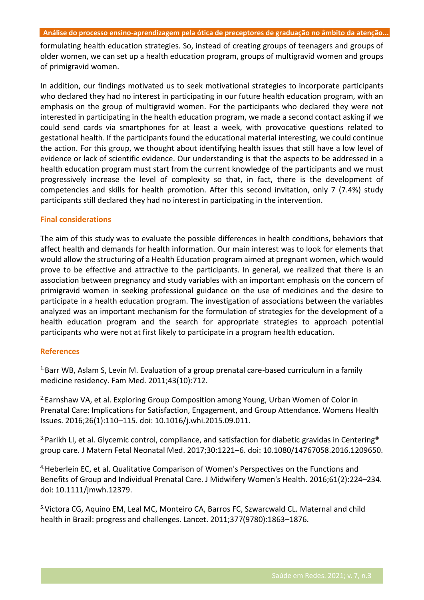formulating health education strategies. So, instead of creating groups of teenagers and groups of older women, we can set up a health education program, groups of multigravid women and groups of primigravid women.

In addition, our findings motivated us to seek motivational strategies to incorporate participants who declared they had no interest in participating in our future health education program, with an emphasis on the group of multigravid women. For the participants who declared they were not interested in participating in the health education program, we made a second contact asking if we could send cards via smartphones for at least a week, with provocative questions related to gestational health. If the participants found the educational material interesting, we could continue the action. For this group, we thought about identifying health issues that still have a low level of evidence or lack of scientific evidence. Our understanding is that the aspects to be addressed in a health education program must start from the current knowledge of the participants and we must progressively increase the level of complexity so that, in fact, there is the development of competencies and skills for health promotion. After this second invitation, only 7 (7.4%) study participants still declared they had no interest in participating in the intervention.

#### **Final considerations**

The aim of this study was to evaluate the possible differences in health conditions, behaviors that affect health and demands for health information. Our main interest was to look for elements that would allow the structuring of a Health Education program aimed at pregnant women, which would prove to be effective and attractive to the participants. In general, we realized that there is an association between pregnancy and study variables with an important emphasis on the concern of primigravid women in seeking professional guidance on the use of medicines and the desire to participate in a health education program. The investigation of associations between the variables analyzed was an important mechanism for the formulation of strategies for the development of a health education program and the search for appropriate strategies to approach potential participants who were not at first likely to participate in a program health education.

#### **References**

<sup>1.</sup>Barr WB, Aslam S, Levin M. Evaluation of a group prenatal care-based curriculum in a family medicine residency. Fam Med. 2011;43(10):712.

<sup>2.</sup>Earnshaw VA, et al. Exploring Group Composition among Young, Urban Women of Color in Prenatal Care: Implications for Satisfaction, Engagement, and Group Attendance. Womens Health Issues. 2016;26(1):110–115. doi: 10.1016/j.whi.2015.09.011.

 $3$ -Parikh LI, et al. Glycemic control, compliance, and satisfaction for diabetic gravidas in Centering<sup>®</sup> group care. J Matern Fetal Neonatal Med. 2017;30:1221–6. doi: 10.1080/14767058.2016.1209650.

4.Heberlein EC, et al. Qualitative Comparison of Women's Perspectives on the Functions and Benefits of Group and Individual Prenatal Care. J Midwifery Women's Health. 2016;61(2):224–234. doi: 10.1111/jmwh.12379.

5.Victora CG, Aquino EM, Leal MC, Monteiro CA, Barros FC, Szwarcwald CL. Maternal and child health in Brazil: progress and challenges. Lancet. 2011;377(9780):1863–1876.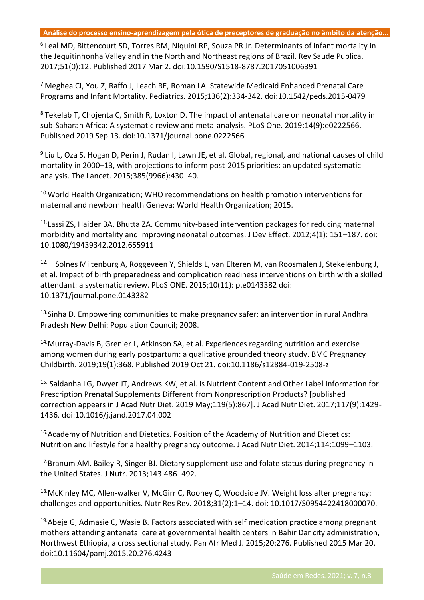6.Leal MD, Bittencourt SD, Torres RM, Niquini RP, Souza PR Jr. Determinants of infant mortality in the Jequitinhonha Valley and in the North and Northeast regions of Brazil. Rev Saude Publica. 2017;51(0):12. Published 2017 Mar 2. doi:10.1590/S1518-8787.2017051006391

7.Meghea CI, You Z, Raffo J, Leach RE, Roman LA. Statewide Medicaid Enhanced Prenatal Care Programs and Infant Mortality. Pediatrics. 2015;136(2):334-342. doi:10.1542/peds.2015-0479

8. Tekelab T, Chojenta C, Smith R, Loxton D. The impact of antenatal care on neonatal mortality in sub-Saharan Africa: A systematic review and meta-analysis. PLoS One. 2019;14(9):e0222566. Published 2019 Sep 13. doi:10.1371/journal.pone.0222566

9. Liu L, Oza S, Hogan D, Perin J, Rudan I, Lawn JE, et al. Global, regional, and national causes of child mortality in 2000–13, with projections to inform post-2015 priorities: an updated systematic analysis. The Lancet. 2015;385(9966):430–40.

<sup>10.</sup>World Health Organization; WHO recommendations on health promotion interventions for maternal and newborn health Geneva: World Health Organization; 2015.

11.Lassi ZS, Haider BA, Bhutta ZA. Community-based intervention packages for reducing maternal morbidity and mortality and improving neonatal outcomes. J Dev Effect. 2012;4(1): 151–187. doi: 10.1080/19439342.2012.655911

<sup>12.</sup> Solnes Miltenburg A, Roggeveen Y, Shields L, van Elteren M, van Roosmalen J, Stekelenburg J, et al. Impact of birth preparedness and complication readiness interventions on birth with a skilled attendant: a systematic review. PLoS ONE. 2015;10(11): p.e0143382 doi: 10.1371/journal.pone.0143382

<sup>13.</sup>Sinha D. Empowering communities to make pregnancy safer: an intervention in rural Andhra Pradesh New Delhi: Population Council; 2008.

<sup>14.</sup> Murray-Davis B, Grenier L, Atkinson SA, et al. Experiences regarding nutrition and exercise among women during early postpartum: a qualitative grounded theory study. BMC Pregnancy Childbirth. 2019;19(1):368. Published 2019 Oct 21. doi:10.1186/s12884-019-2508-z

<sup>15.</sup> Saldanha LG, Dwyer JT, Andrews KW, et al. Is Nutrient Content and Other Label Information for Prescription Prenatal Supplements Different from Nonprescription Products? [published correction appears in J Acad Nutr Diet. 2019 May;119(5):867]. J Acad Nutr Diet. 2017;117(9):1429- 1436. doi:10.1016/j.jand.2017.04.002

<sup>16.</sup>Academy of Nutrition and Dietetics. Position of the Academy of Nutrition and Dietetics: Nutrition and lifestyle for a healthy pregnancy outcome. J Acad Nutr Diet. 2014;114:1099–1103.

<sup>17.</sup>Branum AM, Bailey R, Singer BJ. Dietary supplement use and folate status during pregnancy in the United States. J Nutr. 2013;143:486–492.

<sup>18</sup> McKinley MC, Allen-walker V, McGirr C, Rooney C, Woodside JV. Weight loss after pregnancy: challenges and opportunities. Nutr Res Rev. 2018;31(2):1–14. doi: 10.1017/S0954422418000070.

 $19.4$ beje G, Admasie C, Wasie B. Factors associated with self medication practice among pregnant mothers attending antenatal care at governmental health centers in Bahir Dar city administration, Northwest Ethiopia, a cross sectional study. Pan Afr Med J. 2015;20:276. Published 2015 Mar 20. doi:10.11604/pamj.2015.20.276.4243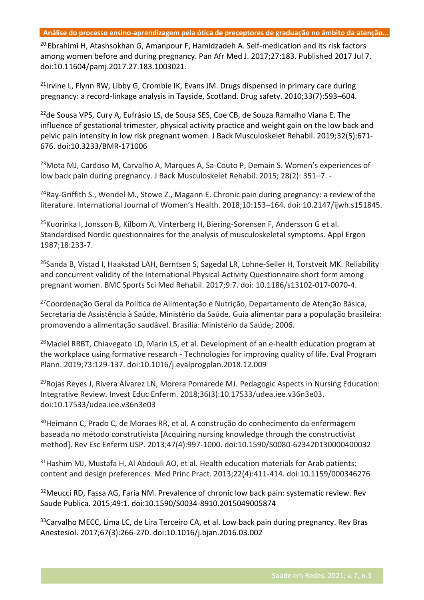<sup>20.</sup>Ebrahimi H, Atashsokhan G, Amanpour F, Hamidzadeh A. Self-medication and its risk factors among women before and during pregnancy. Pan Afr Med J. 2017;27:183. Published 2017 Jul 7. doi:10.11604/pamj.2017.27.183.1003021.

 $21$ Irvine L, Flynn RW, Libby G, Crombie IK, Evans JM. Drugs dispensed in primary care during pregnancy: a record-linkage analysis in Tayside, Scotland. Drug safety. 2010;33(7):593–604.

<sup>22</sup>de Sousa VPS, Cury A, Eufrásio LS, de Sousa SES, Coe CB, de Souza Ramalho Viana E. The influence of gestational trimester, physical activity practice and weight gain on the low back and pelvic pain intensity in low risk pregnant women. J Back Musculoskelet Rehabil. 2019;32(5):671- 676. doi:10.3233/BMR-171006

<sup>23</sup>Mota MJ, Cardoso M, Carvalho A, Marques A, Sa-Couto P, Demain S. Women's experiences of low back pain during pregnancy. J Back Musculoskelet Rehabil. 2015; 28(2): 351–7. -

<sup>24</sup>Ray-Griffith S., Wendel M., Stowe Z., Magann E. Chronic pain during pregnancy: a review of the literature. International Journal of Women's Health. 2018;10:153–164. doi: 10.2147/ijwh.s151845.

<sup>25</sup>Kuorinka I, Jonsson B, Kilbom A, Vinterberg H, Biering-Sorensen F, Andersson G et al. Standardised Nordic questionnaires for the analysis of musculoskeletal symptoms. Appl Ergon 1987;18:233-7.

<sup>26</sup>Sanda B, Vistad I, Haakstad LAH, Berntsen S, Sagedal LR, Lohne-Seiler H, Torstveit MK. Reliability and concurrent validity of the International Physical Activity Questionnaire short form among pregnant women. BMC Sports Sci Med Rehabil. 2017;9:7. doi: 10.1186/s13102-017-0070-4.

<sup>27</sup>Coordenação Geral da Política de Alimentação e Nutrição, Departamento de Atenção Básica, Secretaria de Assistência à Saúde, Ministério da Saúde. Guia alimentar para a população brasileira: promovendo a alimentação saudável. Brasília: Ministério da Saúde; 2006.

<sup>28</sup>Maciel RRBT, Chiavegato LD, Marin LS, et al. Development of an e-health education program at the workplace using formative research - Technologies for improving quality of life. Eval Program Plann. 2019;73:129-137. doi:10.1016/j.evalprogplan.2018.12.009

<sup>29</sup>Rojas Reyes J, Rivera Álvarez LN, Morera Pomarede MJ. Pedagogic Aspects in Nursing Education: Integrative Review. Invest Educ Enferm. 2018;36(3):10.17533/udea.iee.v36n3e03. doi:10.17533/udea.iee.v36n3e03

<sup>30</sup>Heimann C, Prado C, de Moraes RR, et al. A construção do conhecimento da enfermagem baseada no método construtivista [Acquiring nursing knowledge through the constructivist method]. Rev Esc Enferm USP. 2013;47(4):997-1000. doi:10.1590/S0080-623420130000400032

<sup>31</sup> Hashim MJ, Mustafa H, Al Abdouli AO, et al. Health education materials for Arab patients: content and design preferences. Med Princ Pract. 2013;22(4):411-414. doi:10.1159/000346276

<sup>32</sup>Meucci RD, Fassa AG, Faria NM. Prevalence of chronic low back pain: systematic review. Rev Saude Publica. 2015;49:1. doi:10.1590/S0034-8910.2015049005874

<sup>33</sup>Carvalho MECC, Lima LC, de Lira Terceiro CA, et al. Low back pain during pregnancy. Rev Bras Anestesiol. 2017;67(3):266-270. doi:10.1016/j.bjan.2016.03.002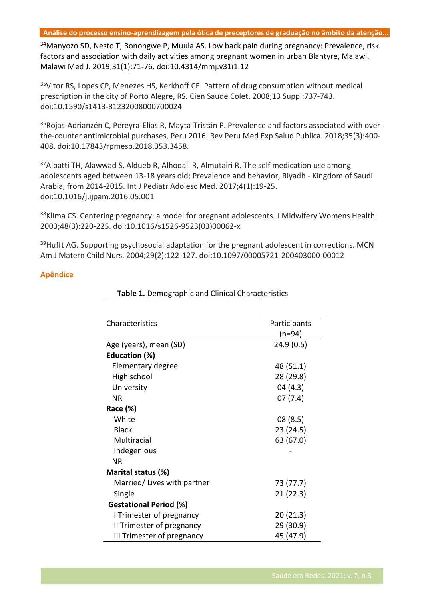34Manyozo SD, Nesto T, Bonongwe P, Muula AS. Low back pain during pregnancy: Prevalence, risk factors and association with daily activities among pregnant women in urban Blantyre, Malawi. Malawi Med J. 2019;31(1):71-76. doi:10.4314/mmj.v31i1.12

<sup>35</sup>Vitor RS, Lopes CP, Menezes HS, Kerkhoff CE. Pattern of drug consumption without medical prescription in the city of Porto Alegre, RS. Cien Saude Colet. 2008;13 Suppl:737-743. doi:10.1590/s1413-81232008000700024

36Rojas-Adrianzén C, Pereyra-Elías R, Mayta-Tristán P. Prevalence and factors associated with overthe-counter antimicrobial purchases, Peru 2016. Rev Peru Med Exp Salud Publica. 2018;35(3):400- 408. doi:10.17843/rpmesp.2018.353.3458.

<sup>37</sup>Albatti TH, Alawwad S, Aldueb R, Alhoqail R, Almutairi R. The self medication use among adolescents aged between 13-18 years old; Prevalence and behavior, Riyadh - Kingdom of Saudi Arabia, from 2014-2015. Int J Pediatr Adolesc Med. 2017;4(1):19-25. doi:10.1016/j.ijpam.2016.05.001

<sup>38</sup>Klima CS. Centering pregnancy: a model for pregnant adolescents. J Midwifery Womens Health. 2003;48(3):220-225. doi:10.1016/s1526-9523(03)00062-x

<sup>39</sup>Hufft AG. Supporting psychosocial adaptation for the pregnant adolescent in corrections. MCN Am J Matern Child Nurs. 2004;29(2):122-127. doi:10.1097/00005721-200403000-00012

# **Apêndice**

| Characteristics               | Participants |
|-------------------------------|--------------|
|                               | (n=94)       |
| Age (years), mean (SD)        | 24.9(0.5)    |
| Education (%)                 |              |
| Elementary degree             | 48 (51.1)    |
| High school                   | 28 (29.8)    |
| University                    | 04 (4.3)     |
| ΝR                            | 07(7.4)      |
| Race (%)                      |              |
| White                         | 08(8.5)      |
| <b>Black</b>                  | 23 (24.5)    |
| Multiracial                   | 63 (67.0)    |
| Indegenious                   |              |
| <b>NR</b>                     |              |
| Marital status (%)            |              |
| Married/Lives with partner    | 73 (77.7)    |
| Single                        | 21 (22.3)    |
| <b>Gestational Period (%)</b> |              |
| I Trimester of pregnancy      | 20 (21.3)    |
| II Trimester of pregnancy     | 29 (30.9)    |
| III Trimester of pregnancy    | 45 (47.9)    |

# **Table 1.** Demographic and Clinical Characteristics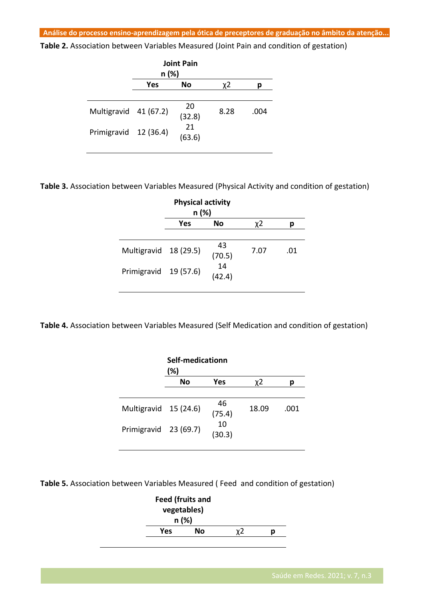**Table 2.** Association between Variables Measured (Joint Pain and condition of gestation)

|                       | n (%)     | <b>Joint Pain</b> |      |      |
|-----------------------|-----------|-------------------|------|------|
|                       | Yes<br>No |                   | χ2   | р    |
|                       |           |                   |      |      |
| Multigravid 41 (67.2) |           | 20<br>(32.8)      | 8.28 | .004 |
| Primigravid 12 (36.4) |           | 21<br>(63.6)      |      |      |
|                       |           |                   |      |      |

**Table 3.** Association between Variables Measured (Physical Activity and condition of gestation)

|                       | <b>Physical activity</b><br>n (%) |              |      |     |
|-----------------------|-----------------------------------|--------------|------|-----|
|                       | Yes                               | No           | χ2   |     |
|                       |                                   |              |      |     |
| Multigravid 18 (29.5) |                                   | 43<br>(70.5) | 7.07 | .01 |
| Primigravid           | 19 (57.6)                         | 14<br>(42.4) |      |     |
|                       |                                   |              |      |     |

**Table 4.** Association between Variables Measured (Self Medication and condition of gestation)

|                                                | Self-medicationn<br>(%) |                              |       |      |  |
|------------------------------------------------|-------------------------|------------------------------|-------|------|--|
|                                                | <b>No</b>               | Yes                          | χ2    |      |  |
| Multigravid 15 (24.6)<br>Primigravid 23 (69.7) |                         | 46<br>(75.4)<br>10<br>(30.3) | 18.09 | .001 |  |

**Table 5.** Association between Variables Measured ( Feed and condition of gestation)